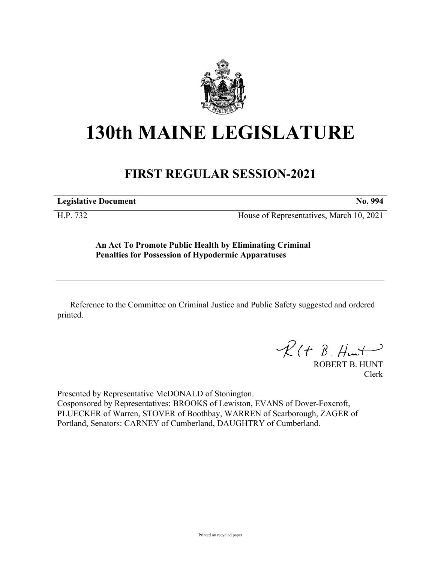

## **130th MAINE LEGISLATURE**

## **FIRST REGULAR SESSION-2021**

**Legislative Document No. 994**

H.P. 732 House of Representatives, March 10, 2021

**An Act To Promote Public Health by Eliminating Criminal Penalties for Possession of Hypodermic Apparatuses**

Reference to the Committee on Criminal Justice and Public Safety suggested and ordered printed.

 $\mathcal{R}(t \; \mathcal{B}, \#m)$ 

ROBERT B. HUNT Clerk

Presented by Representative McDONALD of Stonington. Cosponsored by Representatives: BROOKS of Lewiston, EVANS of Dover-Foxcroft, PLUECKER of Warren, STOVER of Boothbay, WARREN of Scarborough, ZAGER of Portland, Senators: CARNEY of Cumberland, DAUGHTRY of Cumberland.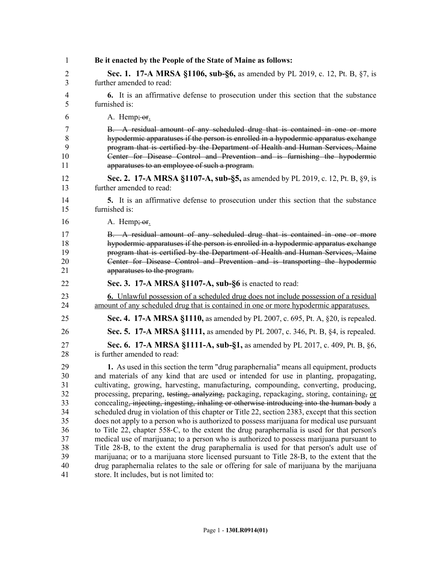| 1              | Be it enacted by the People of the State of Maine as follows:                                   |
|----------------|-------------------------------------------------------------------------------------------------|
| 2              | <b>Sec. 1.</b> 17-A MRSA §1106, sub-§6, as amended by PL 2019, c. 12, Pt. B, §7, is             |
| 3              | further amended to read:                                                                        |
| $\overline{4}$ | <b>6.</b> It is an affirmative defense to prosecution under this section that the substance     |
| 5              | furnished is:                                                                                   |
| 6              | A. Hemp <del>; or</del> .                                                                       |
| 7              | B. A residual amount of any scheduled drug that is contained in one or more                     |
| 8              | hypodermic apparatuses if the person is enrolled in a hypodermic apparatus exchange             |
| 9              | program that is certified by the Department of Health and Human Services, Maine                 |
| 10             | Center for Disease Control and Prevention and is furnishing the hypodermic                      |
| 11             | apparatuses to an employee of such a program.                                                   |
| 12             | Sec. 2. 17-A MRSA §1107-A, sub-§5, as amended by PL 2019, c. 12, Pt. B, §9, is                  |
| 13             | further amended to read:                                                                        |
| 14             | 5. It is an affirmative defense to prosecution under this section that the substance            |
| 15             | furnished is:                                                                                   |
| 16             | A. Hemp <del>; or</del> .                                                                       |
| 17             | B. A residual amount of any scheduled drug that is contained in one or more                     |
| 18             | hypodermic apparatuses if the person is enrolled in a hypodermic apparatus exchange             |
| 19             | program that is certified by the Department of Health and Human Services, Maine                 |
| 20             | Center for Disease Control and Prevention and is transporting the hypodermic                    |
| 21             | apparatuses to the program.                                                                     |
| 22             | Sec. 3. 17-A MRSA §1107-A, sub-§6 is enacted to read:                                           |
| 23             | <b>6.</b> Unlawful possession of a scheduled drug does not include possession of a residual     |
| 24             | amount of any scheduled drug that is contained in one or more hypodermic apparatuses.           |
| 25             | <b>Sec. 4.</b> 17-A MRSA §1110, as amended by PL 2007, c. 695, Pt. A, §20, is repealed.         |
| 26             | <b>Sec. 5. 17-A MRSA §1111,</b> as amended by PL 2007, c. 346, Pt. B, §4, is repealed.          |
| 27             | Sec. 6. 17-A MRSA §1111-A, sub-§1, as amended by PL 2017, c. 409, Pt. B, §6,                    |
| 28             | is further amended to read:                                                                     |
| 29             | 1. As used in this section the term "drug paraphernalia" means all equipment, products          |
| 30             | and materials of any kind that are used or intended for use in planting, propagating,           |
| 31             | cultivating, growing, harvesting, manufacturing, compounding, converting, producing,            |
| 32             | processing, preparing, testing, analyzing, packaging, repackaging, storing, containing, or      |
| 33             | concealing, injecting, ingesting, inhaling or otherwise introducing into the human body a       |
| 34             | scheduled drug in violation of this chapter or Title 22, section 2383, except that this section |
| 35             | does not apply to a person who is authorized to possess marijuana for medical use pursuant      |
| 36             | to Title 22, chapter 558-C, to the extent the drug paraphernalia is used for that person's      |
| 37             | medical use of marijuana; to a person who is authorized to possess marijuana pursuant to        |
| 38             | Title 28-B, to the extent the drug paraphernalia is used for that person's adult use of         |
| 39             | marijuana; or to a marijuana store licensed pursuant to Title 28-B, to the extent that the      |
| 40             | drug paraphernalia relates to the sale or offering for sale of marijuana by the marijuana       |
| 41             | store. It includes, but is not limited to:                                                      |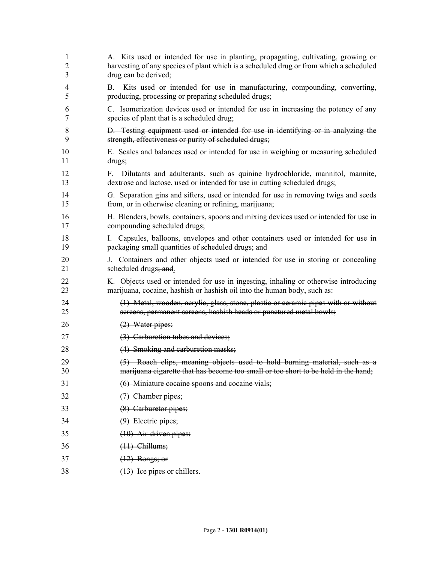| 1      | A. Kits used or intended for use in planting, propagating, cultivating, growing or                                                    |
|--------|---------------------------------------------------------------------------------------------------------------------------------------|
| 2      | harvesting of any species of plant which is a scheduled drug or from which a scheduled                                                |
| 3      | drug can be derived;                                                                                                                  |
| 4<br>5 | Kits used or intended for use in manufacturing, compounding, converting,<br>B.<br>producing, processing or preparing scheduled drugs; |
| 6      | C. Isomerization devices used or intended for use in increasing the potency of any                                                    |
| 7      | species of plant that is a scheduled drug;                                                                                            |
| 8      | D. Testing equipment used or intended for use in identifying or in analyzing the                                                      |
| 9      | strength, effectiveness or purity of scheduled drugs;                                                                                 |
| 10     | E. Scales and balances used or intended for use in weighing or measuring scheduled                                                    |
| 11     | drugs;                                                                                                                                |
| 12     | F. Dilutants and adulterants, such as quinine hydrochloride, mannitol, mannite,                                                       |
| 13     | dextrose and lactose, used or intended for use in cutting scheduled drugs;                                                            |
| 14     | G. Separation gins and sifters, used or intended for use in removing twigs and seeds                                                  |
| 15     | from, or in otherwise cleaning or refining, marijuana;                                                                                |
| 16     | H. Blenders, bowls, containers, spoons and mixing devices used or intended for use in                                                 |
| 17     | compounding scheduled drugs;                                                                                                          |
| 18     | I. Capsules, balloons, envelopes and other containers used or intended for use in                                                     |
| 19     | packaging small quantities of scheduled drugs; and                                                                                    |
| 20     | J. Containers and other objects used or intended for use in storing or concealing                                                     |
| 21     | scheduled drugs; and                                                                                                                  |
| 22     | K. Objects used or intended for use in ingesting, inhaling or otherwise introducing                                                   |
| 23     | marijuana, cocaine, hashish or hashish oil into the human body, such as:                                                              |
| 24     | (1) Metal, wooden, acrylic, glass, stone, plastic or ceramic pipes with or without                                                    |
| 25     | screens, permanent screens, hashish heads or punctured metal bowls;                                                                   |
| 26     | $(2)$ Water pipes;                                                                                                                    |
| 27     | (3) Carburetion tubes and devices;                                                                                                    |
| 28     | (4) Smoking and carburetion masks;                                                                                                    |
| 29     | (5) Roach clips, meaning objects used to hold burning material, such as a                                                             |
| 30     | marijuana cigarette that has become too small or too short to be held in the hand;                                                    |
| 31     | (6) Miniature cocaine spoons and cocaine vials;                                                                                       |
| 32     | $(7)$ Chamber pipes;                                                                                                                  |
| 33     | (8) Carburetor pipes;                                                                                                                 |
| 34     | $(9)$ Electric pipes;                                                                                                                 |
| 35     | $(10)$ Air-driven pipes;                                                                                                              |
| 36     | $(11)$ Chillums;                                                                                                                      |
| 37     | $(12)$ Bongs; or                                                                                                                      |
| 38     | (13) Ice pipes or chillers.                                                                                                           |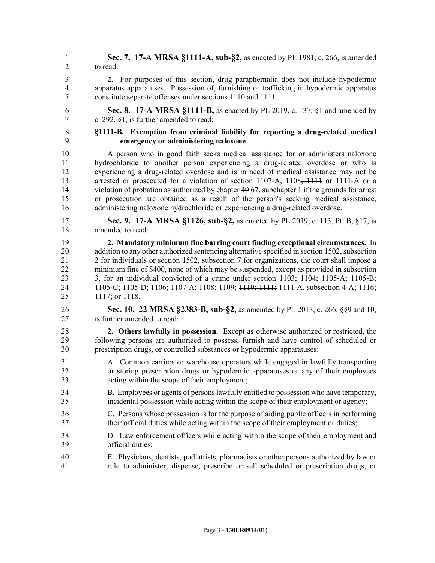- 1 **Sec. 7. 17-A MRSA §1111-A, sub-§2,** as enacted by PL 1981, c. 266, is amended 2 to read:
- 3 **2.** For purposes of this section, drug paraphernalia does not include hypodermic 4 apparatus apparatuses. Possession of, furnishing or trafficking in hypodermic apparatus 5 constitute separate offenses under sections 1110 and 1111.
- 6 **Sec. 8. 17-A MRSA §1111-B,** as enacted by PL 2019, c. 137, §1 and amended by 7 c. 292, §1, is further amended to read:
- 8 **§1111-B. Exemption from criminal liability for reporting a drug-related medical**  9 **emergency or administering naloxone**

10 A person who in good faith seeks medical assistance for or administers naloxone 11 hydrochloride to another person experiencing a drug-related overdose or who is 12 experiencing a drug-related overdose and is in need of medical assistance may not be 13 arrested or prosecuted for a violation of section 1107–A, 1108<del>, 1111</del> or 1111–A or a 14 violation of probation as authorized by chapter 49 67, subchapter 1 if the grounds for arrest 15 or prosecution are obtained as a result of the person's seeking medical assistance, 16 administering naloxone hydrochloride or experiencing a drug-related overdose.

- 17 **Sec. 9. 17-A MRSA §1126, sub-§2,** as enacted by PL 2019, c. 113, Pt. B, §17, is 18 amended to read:
- 19 **2. Mandatory minimum fine barring court finding exceptional circumstances.** In 20 addition to any other authorized sentencing alternative specified in section 1502, subsection 21 2 for individuals or section 1502, subsection 7 for organizations, the court shall impose a 22 minimum fine of \$400, none of which may be suspended, except as provided in subsection 23 3, for an individual convicted of a crime under section 1103; 1104; 1105–A; 1105–B; 24 1105‑C; 1105‑D; 1106; 1107‑A; 1108; 1109; 1110; 1111; 1111‑A, subsection 4‑A; 1116; 25 1117; or 1118.
- 26 **Sec. 10. 22 MRSA §2383-B, sub-§2,** as amended by PL 2013, c. 266, §§9 and 10, 27 is further amended to read:
- 28 **2. Others lawfully in possession.** Except as otherwise authorized or restricted, the 29 following persons are authorized to possess, furnish and have control of scheduled or 30 prescription drugs, or controlled substances or hypodermic apparatuses:
- 31 A. Common carriers or warehouse operators while engaged in lawfully transporting 32 or storing prescription drugs or hypodermic apparatuses or any of their employees 33 acting within the scope of their employment;
- 34 B. Employees or agents of persons lawfully entitled to possession who have temporary, 35 incidental possession while acting within the scope of their employment or agency;
- 36 C. Persons whose possession is for the purpose of aiding public officers in performing 37 their official duties while acting within the scope of their employment or duties;
- 38 D. Law enforcement officers while acting within the scope of their employment and 39 official duties;
- 40 E. Physicians, dentists, podiatrists, pharmacists or other persons authorized by law or 41 rule to administer, dispense, prescribe or sell scheduled or prescription drugs, or